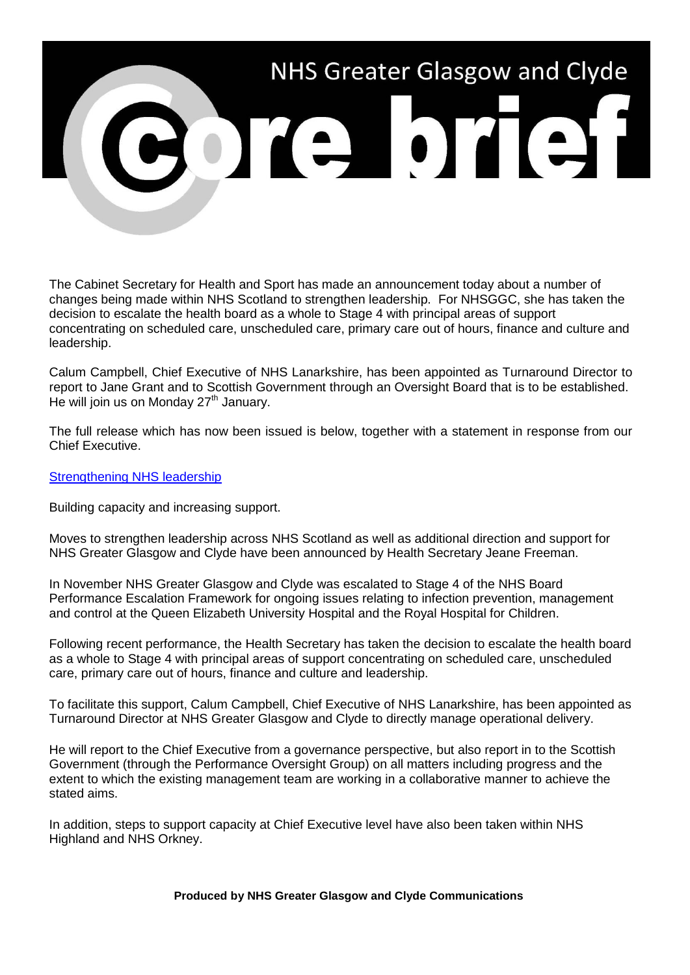

The Cabinet Secretary for Health and Sport has made an announcement today about a number of changes being made within NHS Scotland to strengthen leadership. For NHSGGC, she has taken the decision to escalate the health board as a whole to Stage 4 with principal areas of support concentrating on scheduled care, unscheduled care, primary care out of hours, finance and culture and leadership.

Calum Campbell, Chief Executive of NHS Lanarkshire, has been appointed as Turnaround Director to report to Jane Grant and to Scottish Government through an Oversight Board that is to be established. He will join us on Monday 27<sup>th</sup> January.

The full release which has now been issued is below, together with a statement in response from our Chief Executive.

[Strengthening NHS leadership](https://news.gov.scot/news/strengthening-nhs-leadership)

Building capacity and increasing support.

Moves to strengthen leadership across NHS Scotland as well as additional direction and support for NHS Greater Glasgow and Clyde have been announced by Health Secretary Jeane Freeman.

In November NHS Greater Glasgow and Clyde was escalated to Stage 4 of the NHS Board Performance Escalation Framework for ongoing issues relating to infection prevention, management and control at the Queen Elizabeth University Hospital and the Royal Hospital for Children.

Following recent performance, the Health Secretary has taken the decision to escalate the health board as a whole to Stage 4 with principal areas of support concentrating on scheduled care, unscheduled care, primary care out of hours, finance and culture and leadership.

To facilitate this support, Calum Campbell, Chief Executive of NHS Lanarkshire, has been appointed as Turnaround Director at NHS Greater Glasgow and Clyde to directly manage operational delivery.

He will report to the Chief Executive from a governance perspective, but also report in to the Scottish Government (through the Performance Oversight Group) on all matters including progress and the extent to which the existing management team are working in a collaborative manner to achieve the stated aims.

In addition, steps to support capacity at Chief Executive level have also been taken within NHS Highland and NHS Orkney.

**Produced by NHS Greater Glasgow and Clyde Communications**